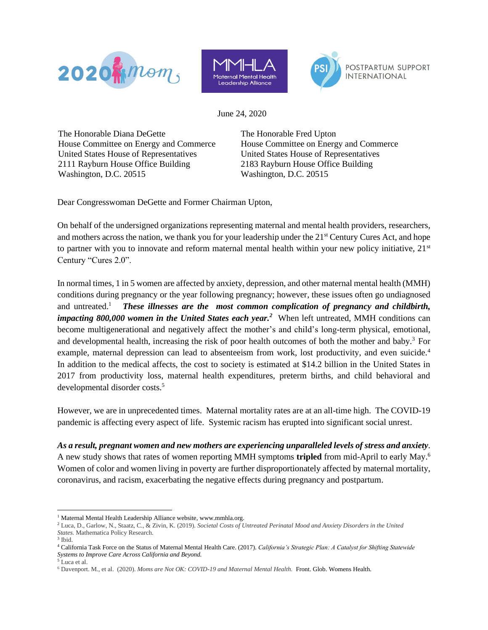





June 24, 2020

The Honorable Diana DeGette The Honorable Fred Upton House Committee on Energy and Commerce House Committee on Energy and Commerce United States House of Representatives United States House of Representatives 2111 Rayburn House Office Building Washington, D.C. 20515

2183 Rayburn House Office Building Washington, D.C. 20515

Dear Congresswoman DeGette and Former Chairman Upton,

On behalf of the undersigned organizations representing maternal and mental health providers, researchers, and mothers across the nation, we thank you for your leadership under the 21<sup>st</sup> Century Cures Act, and hope to partner with you to innovate and reform maternal mental health within your new policy initiative, 21<sup>st</sup> Century "Cures 2.0".

In normal times, 1 in 5 women are affected by anxiety, depression, and other maternal mental health (MMH) conditions during pregnancy or the year following pregnancy; however, these issues often go undiagnosed and untreated.<sup>1</sup> *These illnesses are the most common complication of pregnancy and childbirth, impacting 800,000 women in the United States each year.<sup>2</sup>* When left untreated, MMH conditions can become multigenerational and negatively affect the mother's and child's long-term physical, emotional, and developmental health, increasing the risk of poor health outcomes of both the mother and baby.<sup>3</sup> For example, maternal depression can lead to absenteeism from work, lost productivity, and even suicide.<sup>4</sup> In addition to the medical affects, the cost to society is estimated at \$14.2 billion in the United States in 2017 from productivity loss, maternal health expenditures, preterm births, and child behavioral and developmental disorder costs.<sup>5</sup>

However, we are in unprecedented times. Maternal mortality rates are at an all-time high. The COVID-19 pandemic is affecting every aspect of life. Systemic racism has erupted into significant social unrest.

*As a result, pregnant women and new mothers are experiencing unparalleled levels of stress and anxiety*. A new study shows that rates of women reporting MMH symptoms **tripled** from mid-April to early May. 6 Women of color and women living in poverty are further disproportionately affected by maternal mortality, coronavirus, and racism, exacerbating the negative effects during pregnancy and postpartum.

<sup>&</sup>lt;sup>1</sup> Maternal Mental Health Leadership Alliance website, www.mmhla.org.

<sup>2</sup> Luca, D., Garlow, N., Staatz, C., & Zivin, K. (2019). *Societal Costs of Untreated Perinatal Mood and Anxiety Disorders in the United States.* Mathematica Policy Research.

<sup>3</sup> Ibid.

<sup>4</sup> California Task Force on the Status of Maternal Mental Health Care. (2017). *California's Strategic Plan: A Catalyst for Shifting Statewide Systems to Improve Care Across California and Beyond.*

<sup>5</sup> Luca et al.

<sup>6</sup> Davenport. M., et al. (2020). *Moms are Not OK: COVID-19 and Maternal Mental Health.* Front. Glob. Womens Health.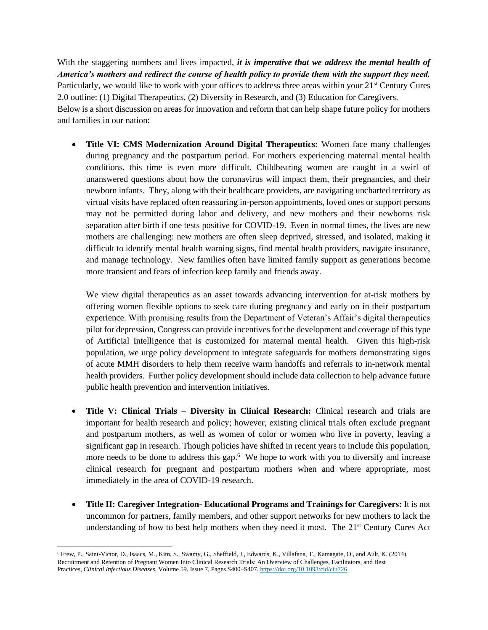With the staggering numbers and lives impacted, *it is imperative that we address the mental health of America's mothers and redirect the course of health policy to provide them with the support they need.* Particularly, we would like to work with your offices to address three areas within your  $21<sup>st</sup>$  Century Cures 2.0 outline: (1) Digital Therapeutics, (2) Diversity in Research, and (3) Education for Caregivers. Below is a short discussion on areas for innovation and reform that can help shape future policy for mothers and families in our nation:

• **Title VI: CMS Modernization Around Digital Therapeutics:** Women face many challenges during pregnancy and the postpartum period. For mothers experiencing maternal mental health conditions, this time is even more difficult. Childbearing women are caught in a swirl of unanswered questions about how the coronavirus will impact them, their pregnancies, and their newborn infants. They, along with their healthcare providers, are navigating uncharted territory as virtual visits have replaced often reassuring in-person appointments, loved ones or support persons may not be permitted during labor and delivery, and new mothers and their newborns risk separation after birth if one tests positive for COVID-19. Even in normal times, the lives are new mothers are challenging: new mothers are often sleep deprived, stressed, and isolated, making it difficult to identify mental health warning signs, find mental health providers, navigate insurance, and manage technology. New families often have limited family support as generations become more transient and fears of infection keep family and friends away.

We view digital therapeutics as an asset towards advancing intervention for at-risk mothers by offering women flexible options to seek care during pregnancy and early on in their postpartum experience. With promising results from the Department of Veteran's Affair's digital therapeutics pilot for depression, Congress can provide incentives for the development and coverage of this type of Artificial Intelligence that is customized for maternal mental health. Given this high-risk population, we urge policy development to integrate safeguards for mothers demonstrating signs of acute MMH disorders to help them receive warm handoffs and referrals to in-network mental health providers. Further policy development should include data collection to help advance future public health prevention and intervention initiatives.

- **Title V: Clinical Trials – Diversity in Clinical Research:** Clinical research and trials are important for health research and policy; however, existing clinical trials often exclude pregnant and postpartum mothers, as well as women of color or women who live in poverty, leaving a significant gap in research. Though policies have shifted in recent years to include this population, more needs to be done to address this gap.<sup>6</sup> We hope to work with you to diversify and increase clinical research for pregnant and postpartum mothers when and where appropriate, most immediately in the area of COVID-19 research.
- **Title II: Caregiver Integration- Educational Programs and Trainings for Caregivers:** It is not uncommon for partners, family members, and other support networks for new mothers to lack the understanding of how to best help mothers when they need it most. The  $21<sup>st</sup>$  Century Cures Act

<sup>6</sup> Frew, P., Saint-Victor, D., Isaacs, M., Kim, S., Swamy, G., Sheffield, J., Edwards, K., Villafana, T., Kamagate, O., and Ault, K. (2014). Recruitment and Retention of Pregnant Women Into Clinical Research Trials: An Overview of Challenges, Facilitators, and Best Practices, *Clinical Infectious Diseases*, Volume 59, Issue 7, Pages S400–S407. <https://doi.org/10.1093/cid/ciu726>